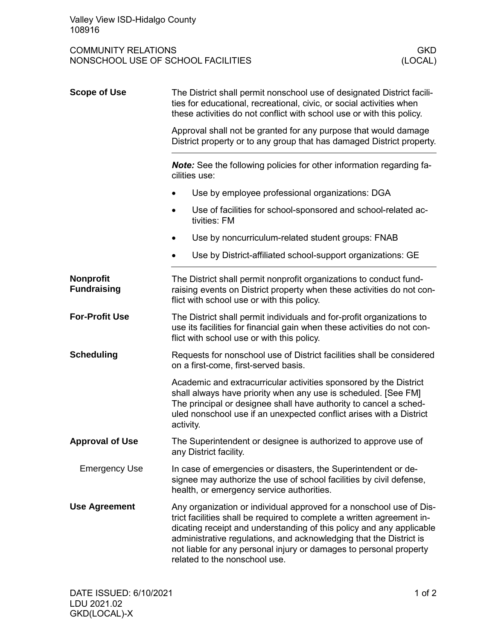COMMUNITY RELATIONS<br>
NONSCHOOL USE OF SCHOOL FACILITIES<br>
(LOCAL) NONSCHOOL USE OF SCHOOL FACILITIES

| <b>Scope of Use</b>                    | The District shall permit nonschool use of designated District facili-<br>ties for educational, recreational, civic, or social activities when<br>these activities do not conflict with school use or with this policy.<br>Approval shall not be granted for any purpose that would damage<br>District property or to any group that has damaged District property.<br>Note: See the following policies for other information regarding fa-<br>cilities use: |                                                                               |  |
|----------------------------------------|--------------------------------------------------------------------------------------------------------------------------------------------------------------------------------------------------------------------------------------------------------------------------------------------------------------------------------------------------------------------------------------------------------------------------------------------------------------|-------------------------------------------------------------------------------|--|
|                                        |                                                                                                                                                                                                                                                                                                                                                                                                                                                              |                                                                               |  |
|                                        |                                                                                                                                                                                                                                                                                                                                                                                                                                                              |                                                                               |  |
|                                        |                                                                                                                                                                                                                                                                                                                                                                                                                                                              | Use of facilities for school-sponsored and school-related ac-<br>tivities: FM |  |
|                                        | Use by noncurriculum-related student groups: FNAB                                                                                                                                                                                                                                                                                                                                                                                                            |                                                                               |  |
|                                        | Use by District-affiliated school-support organizations: GE                                                                                                                                                                                                                                                                                                                                                                                                  |                                                                               |  |
| <b>Nonprofit</b><br><b>Fundraising</b> | The District shall permit nonprofit organizations to conduct fund-<br>raising events on District property when these activities do not con-<br>flict with school use or with this policy.                                                                                                                                                                                                                                                                    |                                                                               |  |
| <b>For-Profit Use</b>                  | The District shall permit individuals and for-profit organizations to<br>use its facilities for financial gain when these activities do not con-<br>flict with school use or with this policy.                                                                                                                                                                                                                                                               |                                                                               |  |
| <b>Scheduling</b>                      | Requests for nonschool use of District facilities shall be considered<br>on a first-come, first-served basis.                                                                                                                                                                                                                                                                                                                                                |                                                                               |  |
|                                        | Academic and extracurricular activities sponsored by the District<br>shall always have priority when any use is scheduled. [See FM]<br>The principal or designee shall have authority to cancel a sched-<br>uled nonschool use if an unexpected conflict arises with a District<br>activity.                                                                                                                                                                 |                                                                               |  |
| <b>Approval of Use</b>                 | The Superintendent or designee is authorized to approve use of<br>any District facility.                                                                                                                                                                                                                                                                                                                                                                     |                                                                               |  |
| <b>Emergency Use</b>                   | In case of emergencies or disasters, the Superintendent or de-<br>signee may authorize the use of school facilities by civil defense,<br>health, or emergency service authorities.                                                                                                                                                                                                                                                                           |                                                                               |  |
| <b>Use Agreement</b>                   | Any organization or individual approved for a nonschool use of Dis-<br>trict facilities shall be required to complete a written agreement in-<br>dicating receipt and understanding of this policy and any applicable<br>administrative regulations, and acknowledging that the District is<br>not liable for any personal injury or damages to personal property<br>related to the nonschool use.                                                           |                                                                               |  |